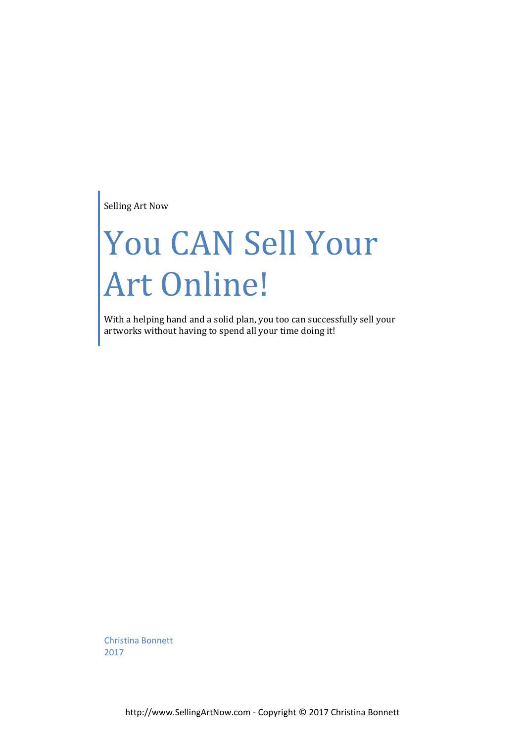Selling Art Now

# You CAN Sell Your Art Online!

With a helping hand and a solid plan, you too can successfully sell your artworks without having to spend all your time doing it!

Christina Bonnett 2017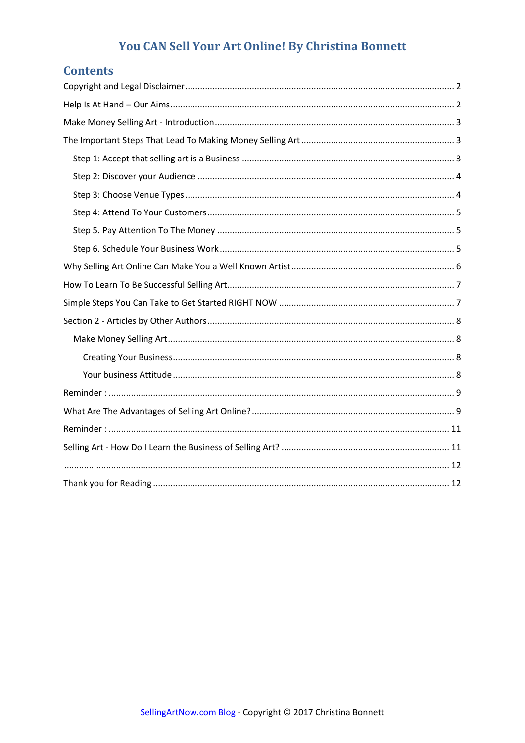## **Contents**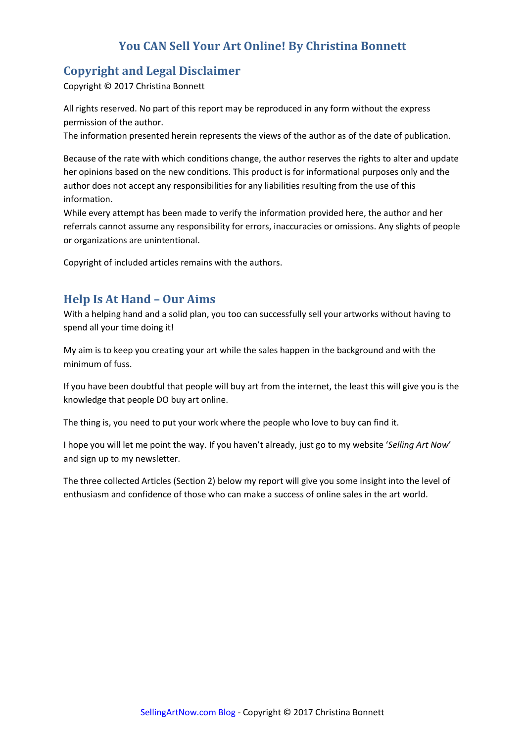# <span id="page-2-0"></span>**Copyright and Legal Disclaimer**

Copyright © 2017 Christina Bonnett

All rights reserved. No part of this report may be reproduced in any form without the express permission of the author.

The information presented herein represents the views of the author as of the date of publication.

Because of the rate with which conditions change, the author reserves the rights to alter and update her opinions based on the new conditions. This product is for informational purposes only and the author does not accept any responsibilities for any liabilities resulting from the use of this information.

While every attempt has been made to verify the information provided here, the author and her referrals cannot assume any responsibility for errors, inaccuracies or omissions. Any slights of people or organizations are unintentional.

Copyright of included articles remains with the authors.

## <span id="page-2-1"></span>**Help Is At Hand – Our Aims**

With a helping hand and a solid plan, you too can successfully sell your artworks without having to spend all your time doing it!

My aim is to keep you creating your art while the sales happen in the background and with the minimum of fuss.

If you have been doubtful that people will buy art from the internet, the least this will give you is the knowledge that people DO buy art online.

The thing is, you need to put your work where the people who love to buy can find it.

I hope you will let me point the way. If you haven't already, just go to my website '*Selling Art Now*' and sign up to my newsletter.

The three collected Articles (Section 2) below my report will give you some insight into the level of enthusiasm and confidence of those who can make a success of online sales in the art world.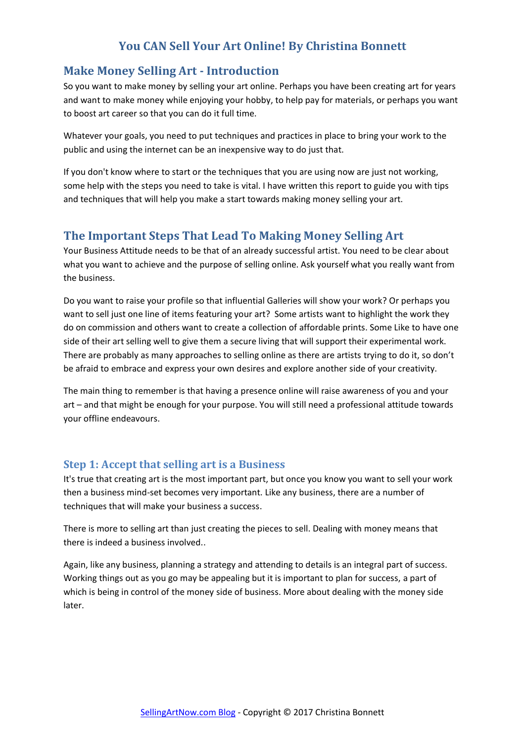## <span id="page-3-0"></span>**Make Money Selling Art - Introduction**

So you want to make money by selling your art online. Perhaps you have been creating art for years and want to make money while enjoying your hobby, to help pay for materials, or perhaps you want to boost art career so that you can do it full time.

Whatever your goals, you need to put techniques and practices in place to bring your work to the public and using the internet can be an inexpensive way to do just that.

If you don't know where to start or the techniques that you are using now are just not working, some help with the steps you need to take is vital. I have written this report to guide you with tips and techniques that will help you make a start towards making money selling your art.

## <span id="page-3-1"></span>**The Important Steps That Lead To Making Money Selling Art**

Your Business Attitude needs to be that of an already successful artist. You need to be clear about what you want to achieve and the purpose of selling online. Ask yourself what you really want from the business.

Do you want to raise your profile so that influential Galleries will show your work? Or perhaps you want to sell just one line of items featuring your art? Some artists want to highlight the work they do on commission and others want to create a collection of affordable prints. Some Like to have one side of their art selling well to give them a secure living that will support their experimental work. There are probably as many approaches to selling online as there are artists trying to do it, so don't be afraid to embrace and express your own desires and explore another side of your creativity.

The main thing to remember is that having a presence online will raise awareness of you and your art – and that might be enough for your purpose. You will still need a professional attitude towards your offline endeavours.

#### <span id="page-3-2"></span>**Step 1: Accept that selling art is a Business**

It's true that creating art is the most important part, but once you know you want to sell your work then a business mind-set becomes very important. Like any business, there are a number of techniques that will make your business a success.

There is more to selling art than just creating the pieces to sell. Dealing with money means that there is indeed a business involved..

Again, like any business, planning a strategy and attending to details is an integral part of success. Working things out as you go may be appealing but it is important to plan for success, a part of which is being in control of the money side of business. More about dealing with the money side later.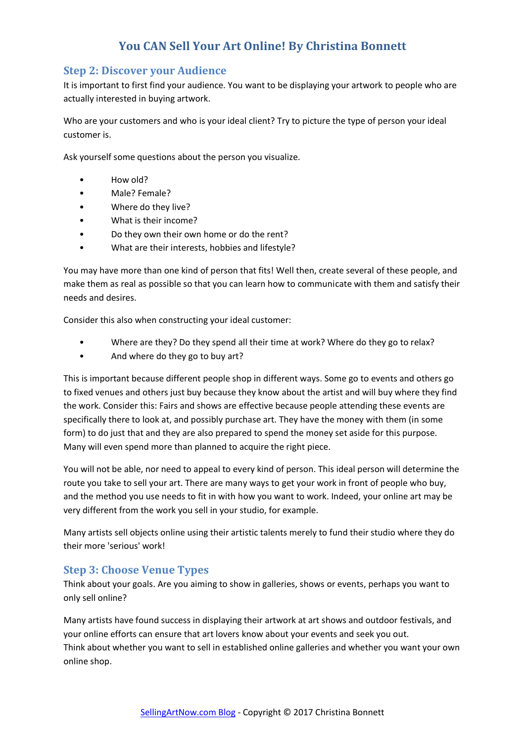## <span id="page-4-0"></span>**Step 2: Discover your Audience**

It is important to first find your audience. You want to be displaying your artwork to people who are actually interested in buying artwork.

Who are your customers and who is your ideal client? Try to picture the type of person your ideal customer is.

Ask yourself some questions about the person you visualize.

- How old?
- Male? Female?
- Where do they live?
- What is their income?
- Do they own their own home or do the rent?
- What are their interests, hobbies and lifestyle?

You may have more than one kind of person that fits! Well then, create several of these people, and make them as real as possible so that you can learn how to communicate with them and satisfy their needs and desires.

Consider this also when constructing your ideal customer:

- Where are they? Do they spend all their time at work? Where do they go to relax?
- And where do they go to buy art?

This is important because different people shop in different ways. Some go to events and others go to fixed venues and others just buy because they know about the artist and will buy where they find the work. Consider this: Fairs and shows are effective because people attending these events are specifically there to look at, and possibly purchase art. They have the money with them (in some form) to do just that and they are also prepared to spend the money set aside for this purpose. Many will even spend more than planned to acquire the right piece.

You will not be able, nor need to appeal to every kind of person. This ideal person will determine the route you take to sell your art. There are many ways to get your work in front of people who buy, and the method you use needs to fit in with how you want to work. Indeed, your online art may be very different from the work you sell in your studio, for example.

Many artists sell objects online using their artistic talents merely to fund their studio where they do their more 'serious' work!

#### <span id="page-4-1"></span>**Step 3: Choose Venue Types**

Think about your goals. Are you aiming to show in galleries, shows or events, perhaps you want to only sell online?

Many artists have found success in displaying their artwork at art shows and outdoor festivals, and your online efforts can ensure that art lovers know about your events and seek you out. Think about whether you want to sell in established online galleries and whether you want your own online shop.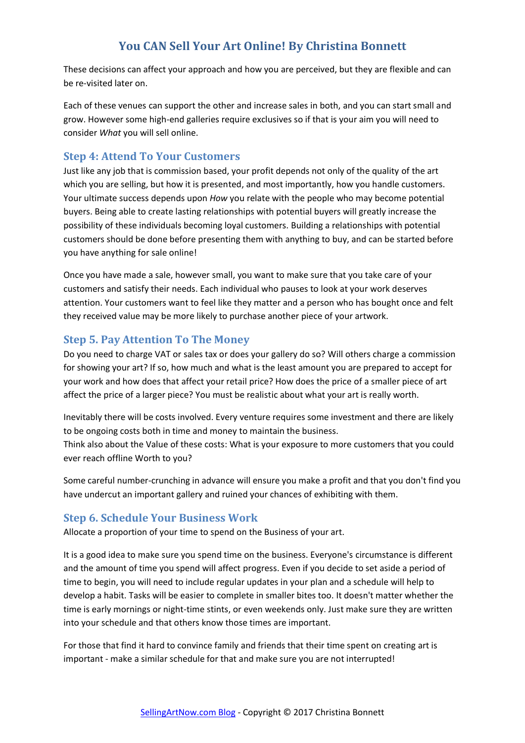These decisions can affect your approach and how you are perceived, but they are flexible and can be re-visited later on.

Each of these venues can support the other and increase sales in both, and you can start small and grow. However some high-end galleries require exclusives so if that is your aim you will need to consider *What* you will sell online.

#### <span id="page-5-0"></span>**Step 4: Attend To Your Customers**

Just like any job that is commission based, your profit depends not only of the quality of the art which you are selling, but how it is presented, and most importantly, how you handle customers. Your ultimate success depends upon *How* you relate with the people who may become potential buyers. Being able to create lasting relationships with potential buyers will greatly increase the possibility of these individuals becoming loyal customers. Building a relationships with potential customers should be done before presenting them with anything to buy, and can be started before you have anything for sale online!

Once you have made a sale, however small, you want to make sure that you take care of your customers and satisfy their needs. Each individual who pauses to look at your work deserves attention. Your customers want to feel like they matter and a person who has bought once and felt they received value may be more likely to purchase another piece of your artwork.

#### <span id="page-5-1"></span>**Step 5. Pay Attention To The Money**

Do you need to charge VAT or sales tax or does your gallery do so? Will others charge a commission for showing your art? If so, how much and what is the least amount you are prepared to accept for your work and how does that affect your retail price? How does the price of a smaller piece of art affect the price of a larger piece? You must be realistic about what your art is really worth.

Inevitably there will be costs involved. Every venture requires some investment and there are likely to be ongoing costs both in time and money to maintain the business.

Think also about the Value of these costs: What is your exposure to more customers that you could ever reach offline Worth to you?

Some careful number-crunching in advance will ensure you make a profit and that you don't find you have undercut an important gallery and ruined your chances of exhibiting with them.

#### <span id="page-5-2"></span>**Step 6. Schedule Your Business Work**

Allocate a proportion of your time to spend on the Business of your art.

It is a good idea to make sure you spend time on the business. Everyone's circumstance is different and the amount of time you spend will affect progress. Even if you decide to set aside a period of time to begin, you will need to include regular updates in your plan and a schedule will help to develop a habit. Tasks will be easier to complete in smaller bites too. It doesn't matter whether the time is early mornings or night-time stints, or even weekends only. Just make sure they are written into your schedule and that others know those times are important.

For those that find it hard to convince family and friends that their time spent on creating art is important - make a similar schedule for that and make sure you are not interrupted!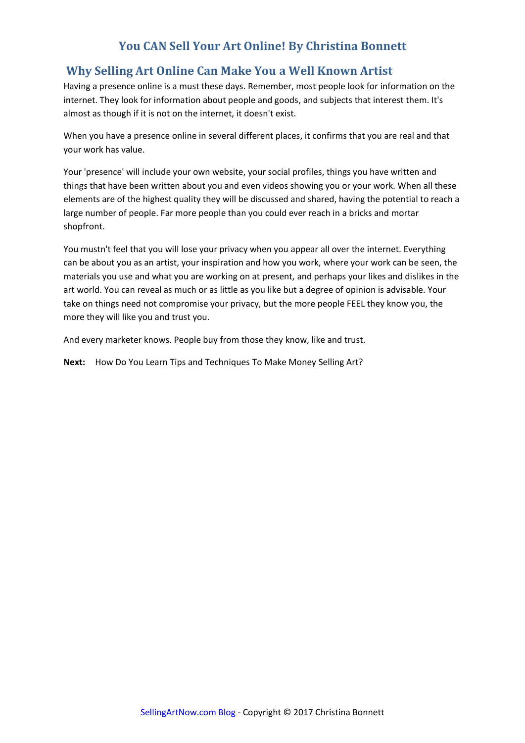# <span id="page-6-0"></span>**Why Selling Art Online Can Make You a Well Known Artist**

Having a presence online is a must these days. Remember, most people look for information on the internet. They look for information about people and goods, and subjects that interest them. It's almost as though if it is not on the internet, it doesn't exist.

When you have a presence online in several different places, it confirms that you are real and that your work has value.

Your 'presence' will include your own website, your social profiles, things you have written and things that have been written about you and even videos showing you or your work. When all these elements are of the highest quality they will be discussed and shared, having the potential to reach a large number of people. Far more people than you could ever reach in a bricks and mortar shopfront.

You mustn't feel that you will lose your privacy when you appear all over the internet. Everything can be about you as an artist, your inspiration and how you work, where your work can be seen, the materials you use and what you are working on at present, and perhaps your likes and dislikes in the art world. You can reveal as much or as little as you like but a degree of opinion is advisable. Your take on things need not compromise your privacy, but the more people FEEL they know you, the more they will like you and trust you.

And every marketer knows. People buy from those they know, like and trust.

**Next:** How Do You Learn Tips and Techniques To Make Money Selling Art?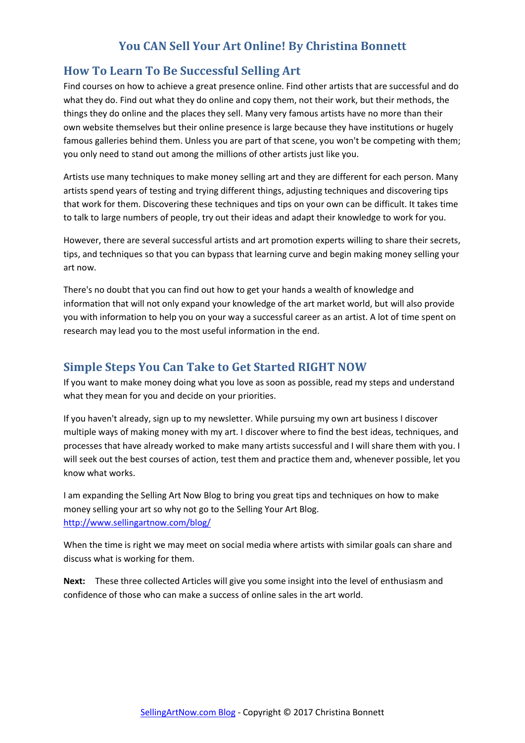## <span id="page-7-0"></span>**How To Learn To Be Successful Selling Art**

Find courses on how to achieve a great presence online. Find other artists that are successful and do what they do. Find out what they do online and copy them, not their work, but their methods, the things they do online and the places they sell. Many very famous artists have no more than their own website themselves but their online presence is large because they have institutions or hugely famous galleries behind them. Unless you are part of that scene, you won't be competing with them; you only need to stand out among the millions of other artists just like you.

Artists use many techniques to make money selling art and they are different for each person. Many artists spend years of testing and trying different things, adjusting techniques and discovering tips that work for them. Discovering these techniques and tips on your own can be difficult. It takes time to talk to large numbers of people, try out their ideas and adapt their knowledge to work for you.

However, there are several successful artists and art promotion experts willing to share their secrets, tips, and techniques so that you can bypass that learning curve and begin making money selling your art now.

There's no doubt that you can find out how to get your hands a wealth of knowledge and information that will not only expand your knowledge of the art market world, but will also provide you with information to help you on your way a successful career as an artist. A lot of time spent on research may lead you to the most useful information in the end.

## <span id="page-7-1"></span>**Simple Steps You Can Take to Get Started RIGHT NOW**

If you want to make money doing what you love as soon as possible, read my steps and understand what they mean for you and decide on your priorities.

If you haven't already, sign up to my newsletter. While pursuing my own art business I discover multiple ways of making money with my art. I discover where to find the best ideas, techniques, and processes that have already worked to make many artists successful and I will share them with you. I will seek out the best courses of action, test them and practice them and, whenever possible, let you know what works.

I am expanding the Selling Art Now Blog to bring you great tips and techniques on how to make money selling your art so why not go to the Selling Your Art Blog. <http://www.sellingartnow.com/blog/>

When the time is right we may meet on social media where artists with similar goals can share and discuss what is working for them.

**Next:** These three collected Articles will give you some insight into the level of enthusiasm and confidence of those who can make a success of online sales in the art world.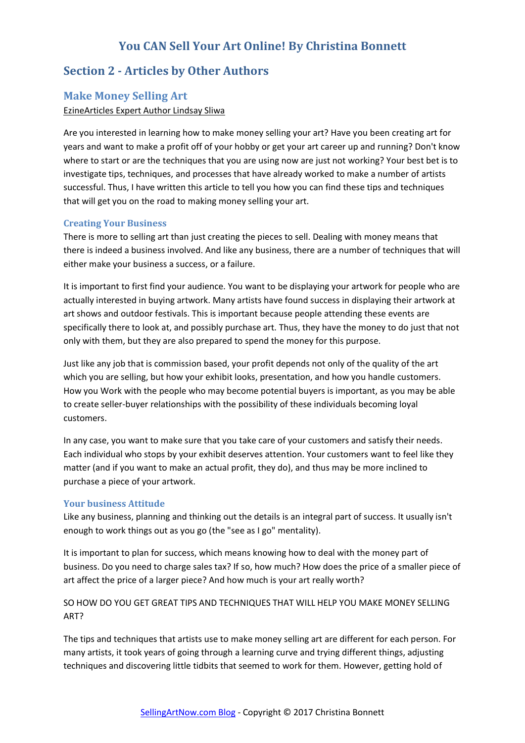## <span id="page-8-0"></span>**Section 2 - Articles by Other Authors**

#### <span id="page-8-1"></span>**Make Money Selling Art**

#### EzineArticles Expert Author Lindsay Sliwa

Are you interested in learning how to make money selling your art? Have you been creating art for years and want to make a profit off of your hobby or get your art career up and running? Don't know where to start or are the techniques that you are using now are just not working? Your best bet is to investigate tips, techniques, and processes that have already worked to make a number of artists successful. Thus, I have written this article to tell you how you can find these tips and techniques that will get you on the road to making money selling your art.

#### <span id="page-8-2"></span>**Creating Your Business**

There is more to selling art than just creating the pieces to sell. Dealing with money means that there is indeed a business involved. And like any business, there are a number of techniques that will either make your business a success, or a failure.

It is important to first find your audience. You want to be displaying your artwork for people who are actually interested in buying artwork. Many artists have found success in displaying their artwork at art shows and outdoor festivals. This is important because people attending these events are specifically there to look at, and possibly purchase art. Thus, they have the money to do just that not only with them, but they are also prepared to spend the money for this purpose.

Just like any job that is commission based, your profit depends not only of the quality of the art which you are selling, but how your exhibit looks, presentation, and how you handle customers. How you Work with the people who may become potential buyers is important, as you may be able to create seller-buyer relationships with the possibility of these individuals becoming loyal customers.

In any case, you want to make sure that you take care of your customers and satisfy their needs. Each individual who stops by your exhibit deserves attention. Your customers want to feel like they matter (and if you want to make an actual profit, they do), and thus may be more inclined to purchase a piece of your artwork.

#### <span id="page-8-3"></span>**Your business Attitude**

Like any business, planning and thinking out the details is an integral part of success. It usually isn't enough to work things out as you go (the "see as I go" mentality).

It is important to plan for success, which means knowing how to deal with the money part of business. Do you need to charge sales tax? If so, how much? How does the price of a smaller piece of art affect the price of a larger piece? And how much is your art really worth?

#### SO HOW DO YOU GET GREAT TIPS AND TECHNIQUES THAT WILL HELP YOU MAKE MONEY SELLING ART?

The tips and techniques that artists use to make money selling art are different for each person. For many artists, it took years of going through a learning curve and trying different things, adjusting techniques and discovering little tidbits that seemed to work for them. However, getting hold of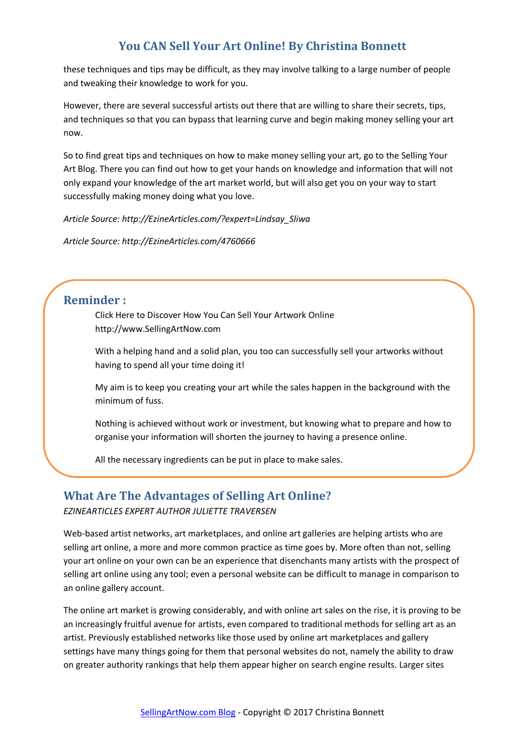these techniques and tips may be difficult, as they may involve talking to a large number of people and tweaking their knowledge to work for you.

However, there are several successful artists out there that are willing to share their secrets, tips, and techniques so that you can bypass that learning curve and begin making money selling your art now.

So to find great tips and techniques on how to make money selling your art, go to the Selling Your Art Blog. There you can find out how to get your hands on knowledge and information that will not only expand your knowledge of the art market world, but will also get you on your way to start successfully making money doing what you love.

*Article Source: http://EzineArticles.com/?expert=Lindsay\_Sliwa* 

*Article Source: http://EzineArticles.com/4760666*

## <span id="page-9-0"></span>**Reminder :**

Click Here to Discover How You Can Sell Your Artwork Online http://www.SellingArtNow.com

With a helping hand and a solid plan, you too can successfully sell your artworks without having to spend all your time doing it!

My aim is to keep you creating your art while the sales happen in the background with the minimum of fuss.

Nothing is achieved without work or investment, but knowing what to prepare and how to organise your information will shorten the journey to having a presence online.

All the necessary ingredients can be put in place to make sales.

#### <span id="page-9-1"></span>**What Are The Advantages of Selling Art Online?**

*EZINEARTICLES EXPERT AUTHOR JULIETTE TRAVERSEN* 

Web-based artist networks, art marketplaces, and online art galleries are helping artists who are selling art online, a more and more common practice as time goes by. More often than not, selling your art online on your own can be an experience that disenchants many artists with the prospect of selling art online using any tool; even a personal website can be difficult to manage in comparison to an online gallery account.

The online art market is growing considerably, and with online art sales on the rise, it is proving to be an increasingly fruitful avenue for artists, even compared to traditional methods for selling art as an artist. Previously established networks like those used by online art marketplaces and gallery settings have many things going for them that personal websites do not, namely the ability to draw on greater authority rankings that help them appear higher on search engine results. Larger sites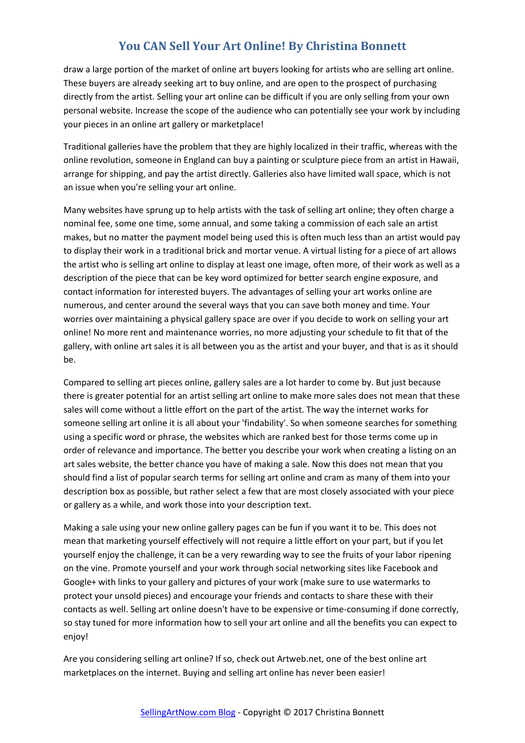draw a large portion of the market of online art buyers looking for artists who are selling art online. These buyers are already seeking art to buy online, and are open to the prospect of purchasing directly from the artist. Selling your art online can be difficult if you are only selling from your own personal website. Increase the scope of the audience who can potentially see your work by including your pieces in an online art gallery or marketplace!

Traditional galleries have the problem that they are highly localized in their traffic, whereas with the online revolution, someone in England can buy a painting or sculpture piece from an artist in Hawaii, arrange for shipping, and pay the artist directly. Galleries also have limited wall space, which is not an issue when you're selling your art online.

Many websites have sprung up to help artists with the task of selling art online; they often charge a nominal fee, some one time, some annual, and some taking a commission of each sale an artist makes, but no matter the payment model being used this is often much less than an artist would pay to display their work in a traditional brick and mortar venue. A virtual listing for a piece of art allows the artist who is selling art online to display at least one image, often more, of their work as well as a description of the piece that can be key word optimized for better search engine exposure, and contact information for interested buyers. The advantages of selling your art works online are numerous, and center around the several ways that you can save both money and time. Your worries over maintaining a physical gallery space are over if you decide to work on selling your art online! No more rent and maintenance worries, no more adjusting your schedule to fit that of the gallery, with online art sales it is all between you as the artist and your buyer, and that is as it should be.

Compared to selling art pieces online, gallery sales are a lot harder to come by. But just because there is greater potential for an artist selling art online to make more sales does not mean that these sales will come without a little effort on the part of the artist. The way the internet works for someone selling art online it is all about your 'findability'. So when someone searches for something using a specific word or phrase, the websites which are ranked best for those terms come up in order of relevance and importance. The better you describe your work when creating a listing on an art sales website, the better chance you have of making a sale. Now this does not mean that you should find a list of popular search terms for selling art online and cram as many of them into your description box as possible, but rather select a few that are most closely associated with your piece or gallery as a while, and work those into your description text.

Making a sale using your new online gallery pages can be fun if you want it to be. This does not mean that marketing yourself effectively will not require a little effort on your part, but if you let yourself enjoy the challenge, it can be a very rewarding way to see the fruits of your labor ripening on the vine. Promote yourself and your work through social networking sites like Facebook and Google+ with links to your gallery and pictures of your work (make sure to use watermarks to protect your unsold pieces) and encourage your friends and contacts to share these with their contacts as well. Selling art online doesn't have to be expensive or time-consuming if done correctly, so stay tuned for more information how to sell your art online and all the benefits you can expect to enjoy!

Are you considering selling art online? If so, check out Artweb.net, one of the best online art marketplaces on the internet. Buying and selling art online has never been easier!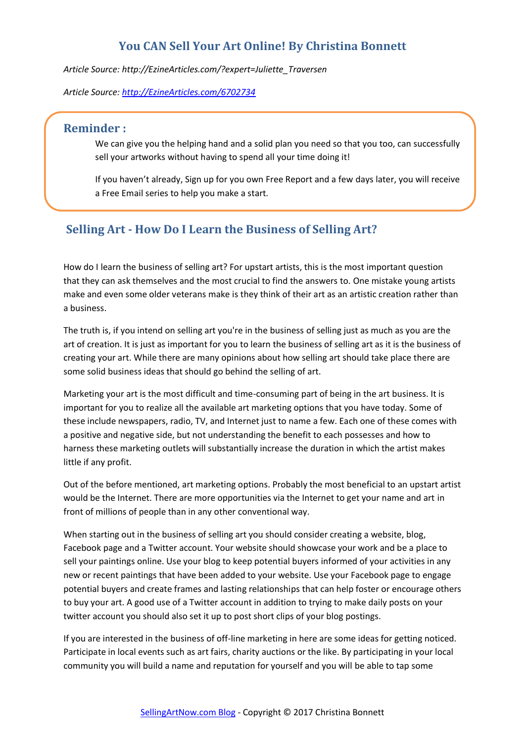*Article Source: http://EzineArticles.com/?expert=Juliette\_Traversen* 

*Article Source: [http://EzineArticles.com/6702734](http://ezinearticles.com/6702734)*

## <span id="page-11-0"></span>**Reminder :**

We can give you the helping hand and a solid plan you need so that you too, can successfully sell your artworks without having to spend all your time doing it!

If you haven't already, Sign up for you own Free Report and a few days later, you will receive a Free Email series to help you make a start.

# <span id="page-11-1"></span>**Selling Art - How Do I Learn the Business of Selling Art?**

How do I learn the business of selling art? For upstart artists, this is the most important question that they can ask themselves and the most crucial to find the answers to. One mistake young artists make and even some older veterans make is they think of their art as an artistic creation rather than a business.

The truth is, if you intend on selling art you're in the business of selling just as much as you are the art of creation. It is just as important for you to learn the business of selling art as it is the business of creating your art. While there are many opinions about how selling art should take place there are some solid business ideas that should go behind the selling of art.

Marketing your art is the most difficult and time-consuming part of being in the art business. It is important for you to realize all the available art marketing options that you have today. Some of these include newspapers, radio, TV, and Internet just to name a few. Each one of these comes with a positive and negative side, but not understanding the benefit to each possesses and how to harness these marketing outlets will substantially increase the duration in which the artist makes little if any profit.

Out of the before mentioned, art marketing options. Probably the most beneficial to an upstart artist would be the Internet. There are more opportunities via the Internet to get your name and art in front of millions of people than in any other conventional way.

When starting out in the business of selling art you should consider creating a website, blog, Facebook page and a Twitter account. Your website should showcase your work and be a place to sell your paintings online. Use your blog to keep potential buyers informed of your activities in any new or recent paintings that have been added to your website. Use your Facebook page to engage potential buyers and create frames and lasting relationships that can help foster or encourage others to buy your art. A good use of a Twitter account in addition to trying to make daily posts on your twitter account you should also set it up to post short clips of your blog postings.

If you are interested in the business of off-line marketing in here are some ideas for getting noticed. Participate in local events such as art fairs, charity auctions or the like. By participating in your local community you will build a name and reputation for yourself and you will be able to tap some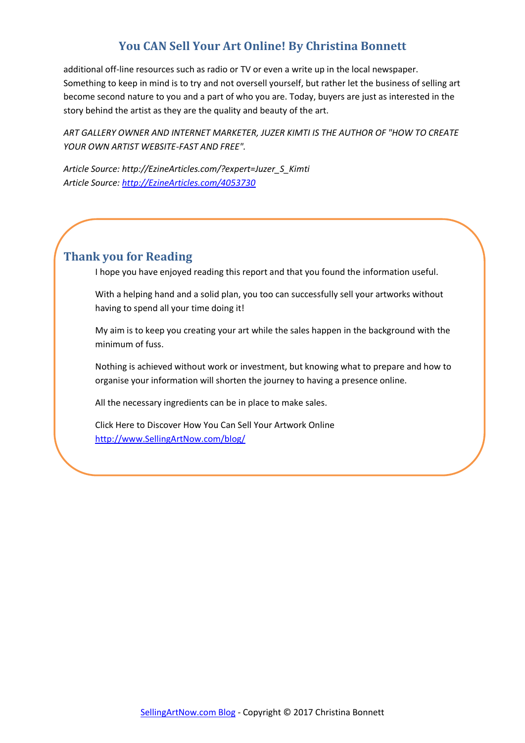<span id="page-12-0"></span>additional off-line resources such as radio or TV or even a write up in the local newspaper. Something to keep in mind is to try and not oversell yourself, but rather let the business of selling art become second nature to you and a part of who you are. Today, buyers are just as interested in the story behind the artist as they are the quality and beauty of the art.

*ART GALLERY OWNER AND INTERNET MARKETER, JUZER KIMTI IS THE AUTHOR OF "HOW TO CREATE YOUR OWN ARTIST WEBSITE-FAST AND FREE".* 

*Article Source: http://EzineArticles.com/?expert=Juzer\_S\_Kimti Article Source: [http://EzineArticles.com/4053730](http://ezinearticles.com/4053730)*

# <span id="page-12-1"></span>**Thank you for Reading**

I hope you have enjoyed reading this report and that you found the information useful.

With a helping hand and a solid plan, you too can successfully sell your artworks without having to spend all your time doing it!

My aim is to keep you creating your art while the sales happen in the background with the minimum of fuss.

Nothing is achieved without work or investment, but knowing what to prepare and how to organise your information will shorten the journey to having a presence online.

All the necessary ingredients can be in place to make sales.

Click Here to Discover How You Can Sell Your Artwork Online [http://www.SellingArtNow.com/blog/](http://www.sellingartnow.com/blog/)